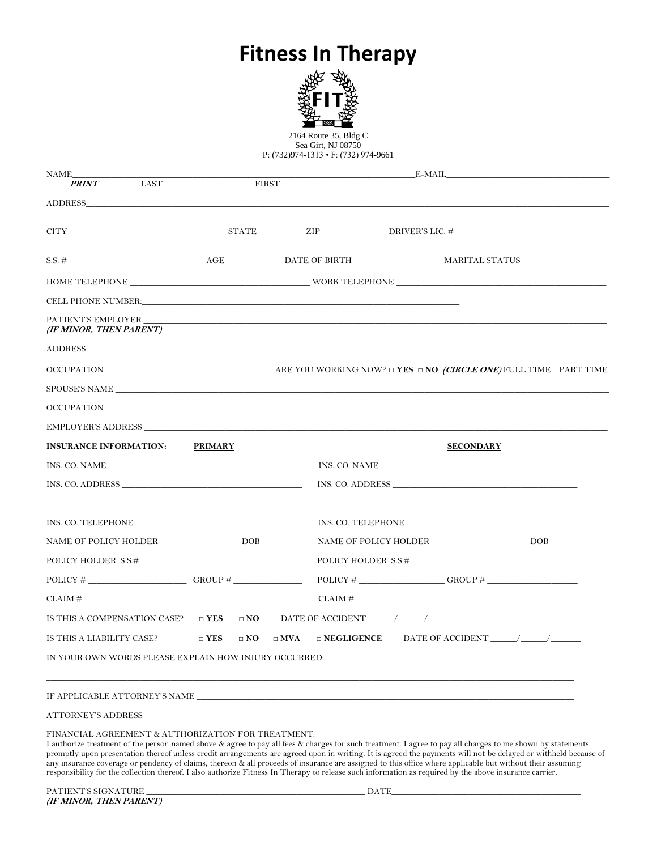## **Fitness In Therapy**



2164 Route 35, Bldg C Sea Girt, NJ 08750 P: (732)974-1313 • F: (732) 974-9661

| NAME_                                                                                                                                                                                                                               |  |              |  | $E\text{-}{}M\text{-}{}N\text{-}{}N$                                                                                                                                                                                                                                                                                  |  |
|-------------------------------------------------------------------------------------------------------------------------------------------------------------------------------------------------------------------------------------|--|--------------|--|-----------------------------------------------------------------------------------------------------------------------------------------------------------------------------------------------------------------------------------------------------------------------------------------------------------------------|--|
| <b>PRINT</b> LAST                                                                                                                                                                                                                   |  | <b>FIRST</b> |  |                                                                                                                                                                                                                                                                                                                       |  |
| ADDRESS <b>Example 20</b> For the set of the set of the set of the set of the set of the set of the set of the set of the set of the set of the set of the set of the set of the set of the set of the set of the set of the set of |  |              |  |                                                                                                                                                                                                                                                                                                                       |  |
|                                                                                                                                                                                                                                     |  |              |  | CITY STATE STATE THE STATE THE DRIVER'S LIC. $\#$                                                                                                                                                                                                                                                                     |  |
|                                                                                                                                                                                                                                     |  |              |  |                                                                                                                                                                                                                                                                                                                       |  |
|                                                                                                                                                                                                                                     |  |              |  |                                                                                                                                                                                                                                                                                                                       |  |
|                                                                                                                                                                                                                                     |  |              |  |                                                                                                                                                                                                                                                                                                                       |  |
| PATIENT'S EMPLOYER<br>(IF MINOR, THEN PARENT)                                                                                                                                                                                       |  |              |  | <u> 1989 - Johann Stoff, amerikansk politiker (d. 1989)</u>                                                                                                                                                                                                                                                           |  |
| ADDRESS <b>Example 20</b> Section 20 and 20 Section 20 and 20 Section 20 and 20 Section 20 and 20 Section 20 and 20 Section 20 and 20 Section 20 and 20 Section 20 and 20 Section 20 and 20 Section 20 and 20 Section 20 and 20 Sec |  |              |  |                                                                                                                                                                                                                                                                                                                       |  |
|                                                                                                                                                                                                                                     |  |              |  |                                                                                                                                                                                                                                                                                                                       |  |
| SPOUSE'S NAME                                                                                                                                                                                                                       |  |              |  |                                                                                                                                                                                                                                                                                                                       |  |
|                                                                                                                                                                                                                                     |  |              |  |                                                                                                                                                                                                                                                                                                                       |  |
| EMPLOYER'S ADDRESS                                                                                                                                                                                                                  |  |              |  |                                                                                                                                                                                                                                                                                                                       |  |
| <b>INSURANCE INFORMATION:</b> PRIMARY                                                                                                                                                                                               |  |              |  | <b>SECONDARY</b>                                                                                                                                                                                                                                                                                                      |  |
|                                                                                                                                                                                                                                     |  |              |  | INS. CO. NAME                                                                                                                                                                                                                                                                                                         |  |
|                                                                                                                                                                                                                                     |  |              |  | INS. CO. ADDRESS                                                                                                                                                                                                                                                                                                      |  |
|                                                                                                                                                                                                                                     |  |              |  | INS. CO. TELEPHONE $\_\_\_\_\_\_\_\_\_\_$                                                                                                                                                                                                                                                                             |  |
| $\label{eq:1} \begin{minipage}{0.9\linewidth} \textbf{NAME OF POLICY HOLDER} \textcolor{red}{\pmb{\text{---}}\textbf{---}} \textbf{DOB} \textcolor{red}{\pmb{\text{---}}\textbf{---}} \end{minipage}$                               |  |              |  |                                                                                                                                                                                                                                                                                                                       |  |
|                                                                                                                                                                                                                                     |  |              |  |                                                                                                                                                                                                                                                                                                                       |  |
|                                                                                                                                                                                                                                     |  |              |  | $\text{POLICY} \# \_\_\_\_\_\_\_\_\_\_ \ \text{GROUP} \# \_\_\_\_\_\_\_\_\_\_\_\_\_\_\_\_\_\_\_\_\_\_\_\_\_\_\_\_\_\_\_\_\_\_\_$                                                                                                                                                                                      |  |
|                                                                                                                                                                                                                                     |  |              |  | CLAIM # $\frac{1}{2}$ $\frac{1}{2}$ $\frac{1}{2}$ $\frac{1}{2}$ $\frac{1}{2}$ $\frac{1}{2}$ $\frac{1}{2}$ $\frac{1}{2}$ $\frac{1}{2}$ $\frac{1}{2}$ $\frac{1}{2}$ $\frac{1}{2}$ $\frac{1}{2}$ $\frac{1}{2}$ $\frac{1}{2}$ $\frac{1}{2}$ $\frac{1}{2}$ $\frac{1}{2}$ $\frac{1}{2}$ $\frac{1}{2}$ $\frac{1}{2}$ $\frac$ |  |
| IS THIS A COMPENSATION CASE? $\Box$ <b>YES</b> $\Box$ <b>NO</b> DATE OF ACCIDENT / /                                                                                                                                                |  |              |  |                                                                                                                                                                                                                                                                                                                       |  |
| IS THIS A LIABILITY CASE? $\square$ <b>YES</b> $\square$ <b>NO</b>                                                                                                                                                                  |  |              |  |                                                                                                                                                                                                                                                                                                                       |  |
|                                                                                                                                                                                                                                     |  |              |  | IN YOUR OWN WORDS PLEASE EXPLAIN HOW INJURY OCCURRED:___________________________                                                                                                                                                                                                                                      |  |
|                                                                                                                                                                                                                                     |  |              |  |                                                                                                                                                                                                                                                                                                                       |  |
|                                                                                                                                                                                                                                     |  |              |  |                                                                                                                                                                                                                                                                                                                       |  |
|                                                                                                                                                                                                                                     |  |              |  |                                                                                                                                                                                                                                                                                                                       |  |

### FINANCIAL AGREEMENT & AUTHORIZATION FOR TREATMENT.

I authorize treatment of the person named above & agree to pay all fees & charges for such treatment. I agree to pay all charges to me shown by statements promptly upon presentation thereof unless credit arrangements are agreed upon in writing. It is agreed the payments will not be delayed or withheld because of any insurance coverage or pendency of claims, thereon & all proceeds of insurance are assigned to this office where applicable but without their assuming responsibility for the collection thereof. I also authorize Fitness In Therapy to release such information as required by the above insurance carrier.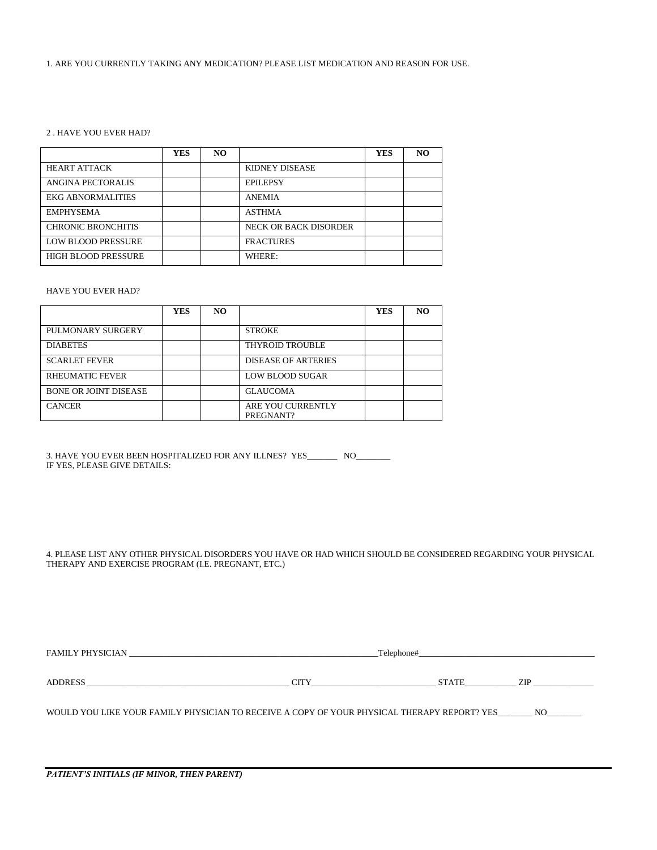1. ARE YOU CURRENTLY TAKING ANY MEDICATION? PLEASE LIST MEDICATION AND REASON FOR USE.

#### 2 . HAVE YOU EVER HAD?

|                            | <b>YES</b> | NO. |                              | <b>YES</b> | N <sub>O</sub> |
|----------------------------|------------|-----|------------------------------|------------|----------------|
| <b>HEART ATTACK</b>        |            |     | KIDNEY DISEASE               |            |                |
| ANGINA PECTORALIS          |            |     | <b>EPILEPSY</b>              |            |                |
| <b>EKG ABNORMALITIES</b>   |            |     | <b>ANEMIA</b>                |            |                |
| <b>EMPHYSEMA</b>           |            |     | <b>ASTHMA</b>                |            |                |
| <b>CHRONIC BRONCHITIS</b>  |            |     | <b>NECK OR BACK DISORDER</b> |            |                |
| <b>LOW BLOOD PRESSURE</b>  |            |     | <b>FRACTURES</b>             |            |                |
| <b>HIGH BLOOD PRESSURE</b> |            |     | WHERE:                       |            |                |

#### HAVE YOU EVER HAD?

|                              | <b>YES</b> | NO. |                                | <b>YES</b> | NΟ |
|------------------------------|------------|-----|--------------------------------|------------|----|
| PULMONARY SURGERY            |            |     | <b>STROKE</b>                  |            |    |
| <b>DIABETES</b>              |            |     | <b>THYROID TROUBLE</b>         |            |    |
| <b>SCARLET FEVER</b>         |            |     | <b>DISEASE OF ARTERIES</b>     |            |    |
| RHEUMATIC FEVER              |            |     | <b>LOW BLOOD SUGAR</b>         |            |    |
| <b>BONE OR JOINT DISEASE</b> |            |     | <b>GLAUCOMA</b>                |            |    |
| <b>CANCER</b>                |            |     | ARE YOU CURRENTLY<br>PREGNANT? |            |    |

3. HAVE YOU EVER BEEN HOSPITALIZED FOR ANY ILLNES? YES\_\_\_\_\_\_\_\_\_\_ NO\_\_\_\_\_\_\_\_\_\_ IF YES, PLEASE GIVE DETAILS:

4. PLEASE LIST ANY OTHER PHYSICAL DISORDERS YOU HAVE OR HAD WHICH SHOULD BE CONSIDERED REGARDING YOUR PHYSICAL THERAPY AND EXERCISE PROGRAM (I.E. PREGNANT, ETC.)

FAMILY PHYSICIAN \_\_\_\_\_\_\_\_\_\_\_\_\_\_\_\_\_\_\_\_\_\_\_\_\_\_\_\_\_\_\_\_\_\_\_\_\_\_\_\_\_\_\_\_\_\_\_\_\_\_\_\_\_\_\_\_\_\_Telephone#\_\_\_\_\_\_\_\_\_\_\_\_\_\_\_\_\_\_\_\_\_\_\_\_\_\_\_\_\_\_\_\_\_\_\_\_\_\_\_\_\_ ADDRESS \_\_\_\_\_\_\_\_\_\_\_\_\_\_\_\_\_\_\_\_\_\_\_\_\_\_\_\_\_\_\_\_\_\_\_\_\_\_\_\_\_\_\_\_\_\_\_ CITY\_\_\_\_\_\_\_\_\_\_\_\_\_\_\_\_\_\_\_\_\_\_\_\_\_\_\_\_\_ STATE\_\_\_\_\_\_\_\_\_\_\_\_ ZIP \_\_\_\_\_\_\_\_\_\_\_\_\_\_

WOULD YOU LIKE YOUR FAMILY PHYSICIAN TO RECEIVE A COPY OF YOUR PHYSICAL THERAPY REPORT? YES\_\_\_\_\_\_\_ NO\_\_\_\_\_

*PATIENT'S INITIALS (IF MINOR, THEN PARENT)*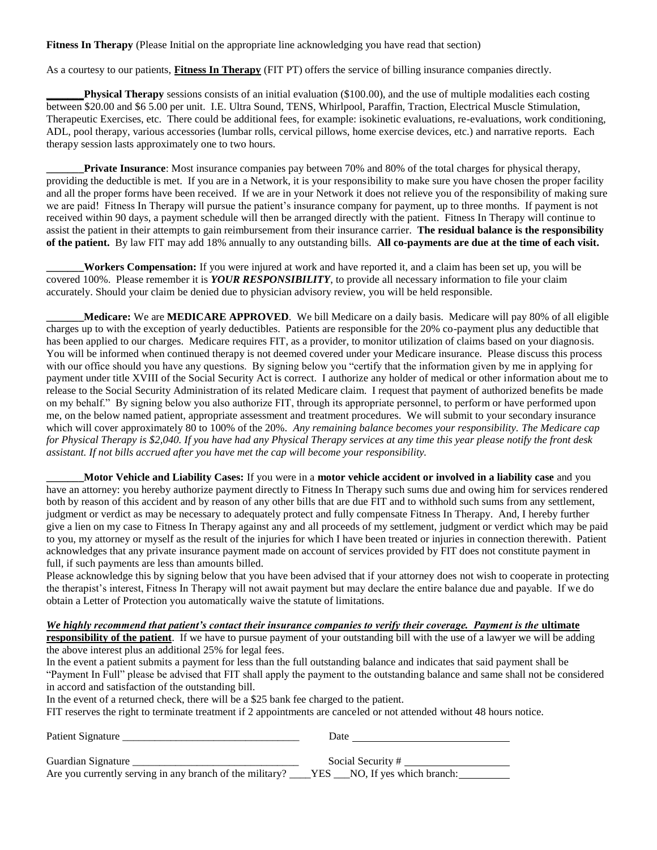**Fitness In Therapy** (Please Initial on the appropriate line acknowledging you have read that section)

As a courtesy to our patients, **Fitness In Therapy** (FIT PT) offers the service of billing insurance companies directly.

**Physical Therapy** sessions consists of an initial evaluation (\$100.00), and the use of multiple modalities each costing between \$20.00 and \$6 5.00 per unit. I.E. Ultra Sound, TENS, Whirlpool, Paraffin, Traction, Electrical Muscle Stimulation, Therapeutic Exercises, etc. There could be additional fees, for example: isokinetic evaluations, re-evaluations, work conditioning, ADL, pool therapy, various accessories (lumbar rolls, cervical pillows, home exercise devices, etc.) and narrative reports. Each therapy session lasts approximately one to two hours.

**Private Insurance**: Most insurance companies pay between 70% and 80% of the total charges for physical therapy, providing the deductible is met. If you are in a Network, it is your responsibility to make sure you have chosen the proper facility and all the proper forms have been received. If we are in your Network it does not relieve you of the responsibility of making sure we are paid! Fitness In Therapy will pursue the patient's insurance company for payment, up to three months. If payment is not received within 90 days, a payment schedule will then be arranged directly with the patient. Fitness In Therapy will continue to assist the patient in their attempts to gain reimbursement from their insurance carrier. **The residual balance is the responsibility of the patient.** By law FIT may add 18% annually to any outstanding bills. **All co-payments are due at the time of each visit.**

**\_\_\_\_\_\_\_Workers Compensation:** If you were injured at work and have reported it, and a claim has been set up, you will be covered 100%. Please remember it is *YOUR RESPONSIBILITY*, to provide all necessary information to file your claim accurately. Should your claim be denied due to physician advisory review, you will be held responsible.

**\_\_\_\_\_\_\_Medicare:** We are **MEDICARE APPROVED**. We bill Medicare on a daily basis. Medicare will pay 80% of all eligible charges up to with the exception of yearly deductibles. Patients are responsible for the 20% co-payment plus any deductible that has been applied to our charges. Medicare requires FIT, as a provider, to monitor utilization of claims based on your diagnosis. You will be informed when continued therapy is not deemed covered under your Medicare insurance. Please discuss this process with our office should you have any questions. By signing below you "certify that the information given by me in applying for payment under title XVIII of the Social Security Act is correct. I authorize any holder of medical or other information about me to release to the Social Security Administration of its related Medicare claim. I request that payment of authorized benefits be made on my behalf." By signing below you also authorize FIT, through its appropriate personnel, to perform or have performed upon me, on the below named patient, appropriate assessment and treatment procedures. We will submit to your secondary insurance which will cover approximately 80 to 100% of the 20%. *Any remaining balance becomes your responsibility. The Medicare cap for Physical Therapy is \$2,040. If you have had any Physical Therapy services at any time this year please notify the front desk assistant. If not bills accrued after you have met the cap will become your responsibility.*

**\_\_\_\_\_\_\_Motor Vehicle and Liability Cases:** If you were in a **motor vehicle accident or involved in a liability case** and you have an attorney: you hereby authorize payment directly to Fitness In Therapy such sums due and owing him for services rendered both by reason of this accident and by reason of any other bills that are due FIT and to withhold such sums from any settlement, judgment or verdict as may be necessary to adequately protect and fully compensate Fitness In Therapy. And, I hereby further give a lien on my case to Fitness In Therapy against any and all proceeds of my settlement, judgment or verdict which may be paid to you, my attorney or myself as the result of the injuries for which I have been treated or injuries in connection therewith. Patient acknowledges that any private insurance payment made on account of services provided by FIT does not constitute payment in full, if such payments are less than amounts billed.

Please acknowledge this by signing below that you have been advised that if your attorney does not wish to cooperate in protecting the therapist's interest, Fitness In Therapy will not await payment but may declare the entire balance due and payable. If we do obtain a Letter of Protection you automatically waive the statute of limitations.

*We highly recommend that patient's contact their insurance companies to verify their coverage. Payment is the* **ultimate** 

**responsibility of the patient**. If we have to pursue payment of your outstanding bill with the use of a lawyer we will be adding the above interest plus an additional 25% for legal fees.

In the event a patient submits a payment for less than the full outstanding balance and indicates that said payment shall be "Payment In Full" please be advised that FIT shall apply the payment to the outstanding balance and same shall not be considered in accord and satisfaction of the outstanding bill.

In the event of a returned check, there will be a \$25 bank fee charged to the patient.

FIT reserves the right to terminate treatment if 2 appointments are canceled or not attended without 48 hours notice.

| Patient Signature                                                                                                  | Date              |
|--------------------------------------------------------------------------------------------------------------------|-------------------|
| Guardian Signature<br>Are you currently serving in any branch of the military? ____YES ___NO, If yes which branch: | Social Security # |